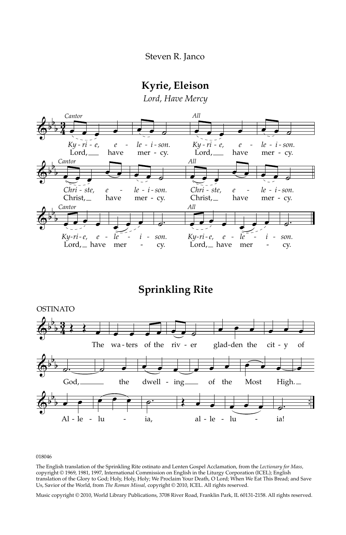## **Kyrie, Eleison**

*Lord, Have Mercy*



**Sprinkling Rite**



018046

The English translation of the Sprinkling Rite ostinato and Lenten Gospel Acclamation, from the *Lectionary for Mass,* copyright © 1969, 1981, 1997, International Commission on English in the Liturgy Corporation (ICEL); English translation of the Glory to God; Holy, Holy, Holy; We Proclaim Your Death, O Lord; When We Eat This Bread; and Save Us, Savior of the World, from *The Roman Missal,* copyright © 2010, ICEL. All rights reserved.

Music copyright © 2010, World Library Publications, 3708 River Road, Franklin Park, IL 60131-2158. All rights reserved.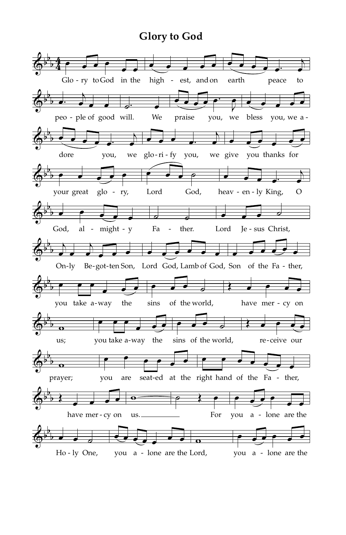## **Glory to God**

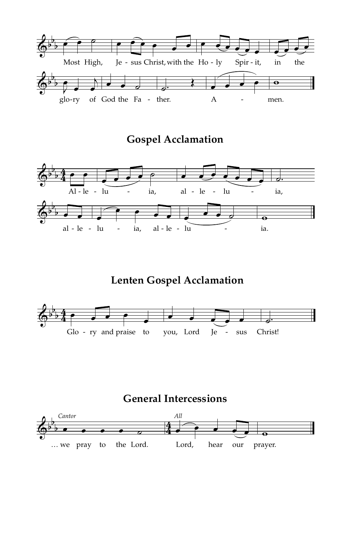

**Gospel Acclamation**



**Lenten Gospel Acclamation**



 $\Phi^{\flat}$ b  $\frac{1}{2}$  . . . . . 4 4 *Cantor* œ œ œ œ ˙ … we pray to the Lord. œ *All*  $\bullet$   $\bullet$   $\bullet$ Lord, hear our  $\overline{\bullet}$ prayer.

**General Intercessions**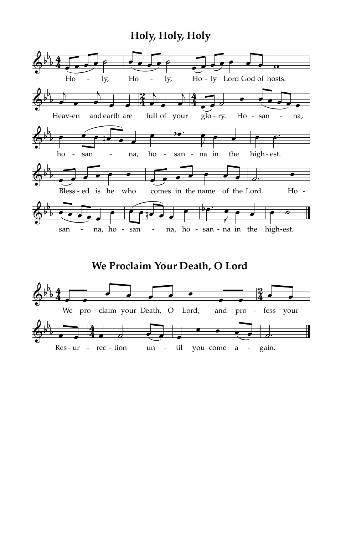## **Holy, Holy, Holy**



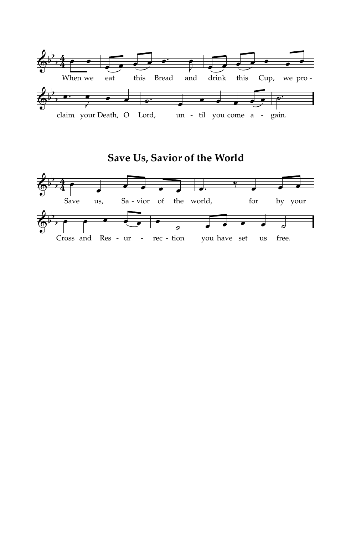

**Save Us, Savior of the World**